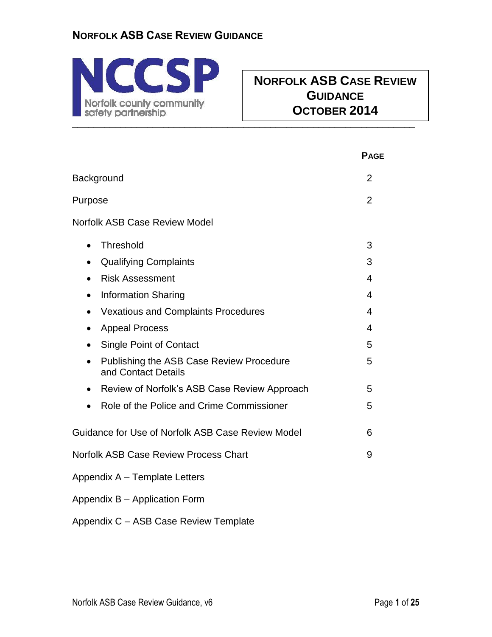

# **NORFOLK ASB CASE REVIEW GUIDANCE OCTOBER 2014**

|                                                                              | <b>PAGE</b>    |
|------------------------------------------------------------------------------|----------------|
| Background                                                                   | $\overline{2}$ |
| Purpose                                                                      | $\overline{2}$ |
| <b>Norfolk ASB Case Review Model</b>                                         |                |
| Threshold<br>$\bullet$                                                       | 3              |
| <b>Qualifying Complaints</b><br>$\bullet$                                    | 3              |
| <b>Risk Assessment</b><br>$\bullet$                                          | 4              |
| <b>Information Sharing</b><br>$\bullet$                                      | 4              |
| <b>Vexatious and Complaints Procedures</b><br>$\bullet$                      | 4              |
| <b>Appeal Process</b><br>$\bullet$                                           | 4              |
| <b>Single Point of Contact</b><br>$\bullet$                                  | 5              |
| Publishing the ASB Case Review Procedure<br>$\bullet$<br>and Contact Details | 5              |
| Review of Norfolk's ASB Case Review Approach<br>$\bullet$                    | 5              |
| Role of the Police and Crime Commissioner<br>$\bullet$                       | 5              |
| Guidance for Use of Norfolk ASB Case Review Model                            | 6              |
| <b>Norfolk ASB Case Review Process Chart</b>                                 | 9              |
| Appendix A - Template Letters                                                |                |
| Appendix B - Application Form                                                |                |
| Appendix C - ASB Case Review Template                                        |                |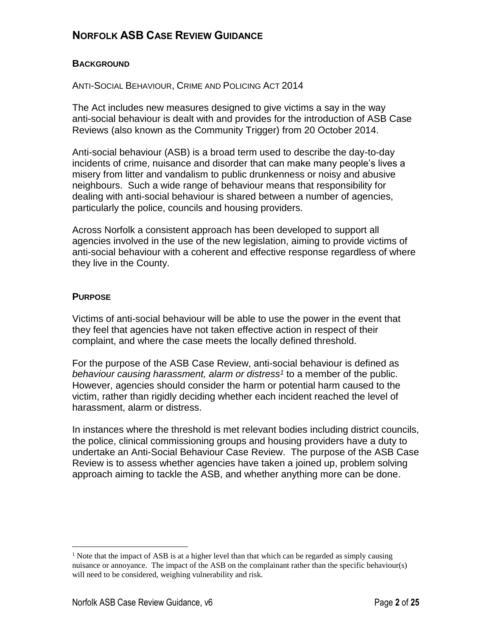#### **BACKGROUND**

ANTI-SOCIAL BEHAVIOUR, CRIME AND POLICING ACT 2014

The Act includes new measures designed to give victims a say in the way anti-social behaviour is dealt with and provides for the introduction of ASB Case Reviews (also known as the Community Trigger) from 20 October 2014.

Anti-social behaviour (ASB) is a broad term used to describe the day-to-day incidents of crime, nuisance and disorder that can make many people's lives a misery from litter and vandalism to public drunkenness or noisy and abusive neighbours. Such a wide range of behaviour means that responsibility for dealing with anti-social behaviour is shared between a number of agencies, particularly the police, councils and housing providers.

Across Norfolk a consistent approach has been developed to support all agencies involved in the use of the new legislation, aiming to provide victims of anti-social behaviour with a coherent and effective response regardless of where they live in the County.

#### **PURPOSE**

 $\overline{a}$ 

Victims of anti-social behaviour will be able to use the power in the event that they feel that agencies have not taken effective action in respect of their complaint, and where the case meets the locally defined threshold.

For the purpose of the ASB Case Review, anti-social behaviour is defined as *behaviour causing harassment, alarm or distress<sup>1</sup>* to a member of the public. However, agencies should consider the harm or potential harm caused to the victim, rather than rigidly deciding whether each incident reached the level of harassment, alarm or distress.

In instances where the threshold is met relevant bodies including district councils, the police, clinical commissioning groups and housing providers have a duty to undertake an Anti-Social Behaviour Case Review. The purpose of the ASB Case Review is to assess whether agencies have taken a joined up, problem solving approach aiming to tackle the ASB, and whether anything more can be done.

<sup>&</sup>lt;sup>1</sup> Note that the impact of ASB is at a higher level than that which can be regarded as simply causing nuisance or annoyance. The impact of the ASB on the complainant rather than the specific behaviour(s) will need to be considered, weighing vulnerability and risk.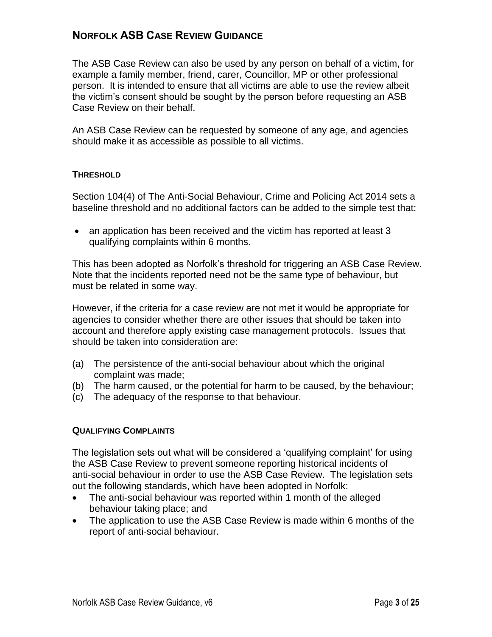The ASB Case Review can also be used by any person on behalf of a victim, for example a family member, friend, carer, Councillor, MP or other professional person. It is intended to ensure that all victims are able to use the review albeit the victim's consent should be sought by the person before requesting an ASB Case Review on their behalf.

An ASB Case Review can be requested by someone of any age, and agencies should make it as accessible as possible to all victims.

#### **THRESHOLD**

Section 104(4) of The Anti-Social Behaviour, Crime and Policing Act 2014 sets a baseline threshold and no additional factors can be added to the simple test that:

• an application has been received and the victim has reported at least 3 qualifying complaints within 6 months.

This has been adopted as Norfolk's threshold for triggering an ASB Case Review. Note that the incidents reported need not be the same type of behaviour, but must be related in some way.

However, if the criteria for a case review are not met it would be appropriate for agencies to consider whether there are other issues that should be taken into account and therefore apply existing case management protocols. Issues that should be taken into consideration are:

- (a) The persistence of the anti-social behaviour about which the original complaint was made;
- (b) The harm caused, or the potential for harm to be caused, by the behaviour;
- (c) The adequacy of the response to that behaviour.

#### **QUALIFYING COMPLAINTS**

The legislation sets out what will be considered a 'qualifying complaint' for using the ASB Case Review to prevent someone reporting historical incidents of anti-social behaviour in order to use the ASB Case Review. The legislation sets out the following standards, which have been adopted in Norfolk:

- The anti-social behaviour was reported within 1 month of the alleged behaviour taking place; and
- The application to use the ASB Case Review is made within 6 months of the report of anti-social behaviour.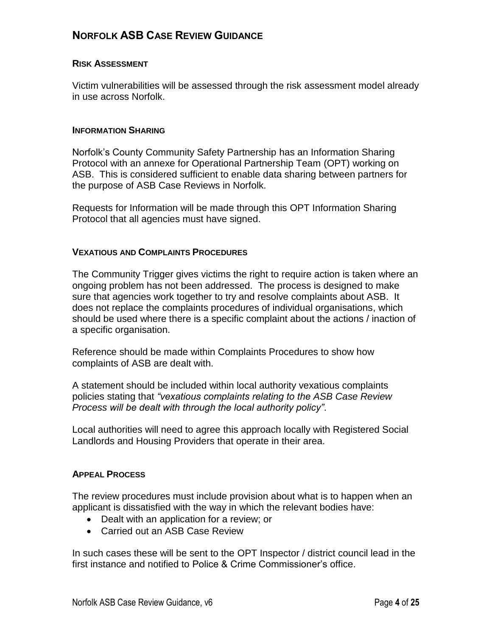#### **RISK ASSESSMENT**

Victim vulnerabilities will be assessed through the risk assessment model already in use across Norfolk.

#### **INFORMATION SHARING**

Norfolk's County Community Safety Partnership has an Information Sharing Protocol with an annexe for Operational Partnership Team (OPT) working on ASB. This is considered sufficient to enable data sharing between partners for the purpose of ASB Case Reviews in Norfolk.

Requests for Information will be made through this OPT Information Sharing Protocol that all agencies must have signed.

#### **VEXATIOUS AND COMPLAINTS PROCEDURES**

The Community Trigger gives victims the right to require action is taken where an ongoing problem has not been addressed. The process is designed to make sure that agencies work together to try and resolve complaints about ASB. It does not replace the complaints procedures of individual organisations, which should be used where there is a specific complaint about the actions / inaction of a specific organisation.

Reference should be made within Complaints Procedures to show how complaints of ASB are dealt with.

A statement should be included within local authority vexatious complaints policies stating that *"vexatious complaints relating to the ASB Case Review Process will be dealt with through the local authority policy"*.

Local authorities will need to agree this approach locally with Registered Social Landlords and Housing Providers that operate in their area.

#### **APPEAL PROCESS**

The review procedures must include provision about what is to happen when an applicant is dissatisfied with the way in which the relevant bodies have:

- Dealt with an application for a review; or
- Carried out an ASB Case Review

In such cases these will be sent to the OPT Inspector / district council lead in the first instance and notified to Police & Crime Commissioner's office.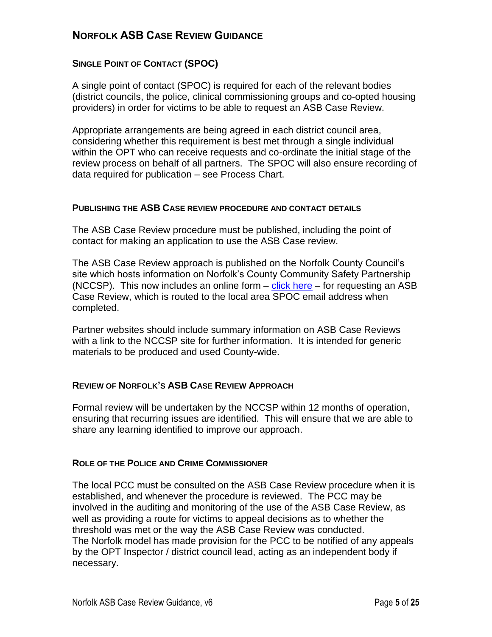#### **SINGLE POINT OF CONTACT (SPOC)**

A single point of contact (SPOC) is required for each of the relevant bodies (district councils, the police, clinical commissioning groups and co-opted housing providers) in order for victims to be able to request an ASB Case Review.

Appropriate arrangements are being agreed in each district council area, considering whether this requirement is best met through a single individual within the OPT who can receive requests and co-ordinate the initial stage of the review process on behalf of all partners. The SPOC will also ensure recording of data required for publication – see Process Chart.

#### **PUBLISHING THE ASB CASE REVIEW PROCEDURE AND CONTACT DETAILS**

The ASB Case Review procedure must be published, including the point of contact for making an application to use the ASB Case review.

The ASB Case Review approach is published on the Norfolk County Council's site which hosts information on Norfolk's County Community Safety Partnership (NCCSP). This now includes an online form – [click here](https://online.norfolk.gov.uk/anti-socialcasereview/) – for requesting an ASB Case Review, which is routed to the local area SPOC email address when completed.

Partner websites should include summary information on ASB Case Reviews with a link to the NCCSP site for further information. It is intended for generic materials to be produced and used County-wide.

#### **REVIEW OF NORFOLK'S ASB CASE REVIEW APPROACH**

Formal review will be undertaken by the NCCSP within 12 months of operation, ensuring that recurring issues are identified. This will ensure that we are able to share any learning identified to improve our approach.

#### **ROLE OF THE POLICE AND CRIME COMMISSIONER**

The local PCC must be consulted on the ASB Case Review procedure when it is established, and whenever the procedure is reviewed. The PCC may be involved in the auditing and monitoring of the use of the ASB Case Review, as well as providing a route for victims to appeal decisions as to whether the threshold was met or the way the ASB Case Review was conducted. The Norfolk model has made provision for the PCC to be notified of any appeals by the OPT Inspector / district council lead, acting as an independent body if necessary.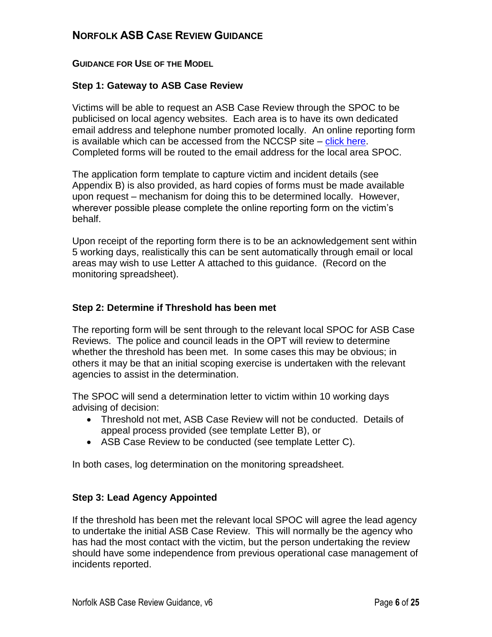#### **GUIDANCE FOR USE OF THE MODEL**

#### **Step 1: Gateway to ASB Case Review**

Victims will be able to request an ASB Case Review through the SPOC to be publicised on local agency websites. Each area is to have its own dedicated email address and telephone number promoted locally. An online reporting form is available which can be accessed from the NCCSP site – [click here.](https://online.norfolk.gov.uk/anti-socialcasereview/) Completed forms will be routed to the email address for the local area SPOC.

The application form template to capture victim and incident details (see Appendix B) is also provided, as hard copies of forms must be made available upon request – mechanism for doing this to be determined locally. However, wherever possible please complete the online reporting form on the victim's behalf.

Upon receipt of the reporting form there is to be an acknowledgement sent within 5 working days, realistically this can be sent automatically through email or local areas may wish to use Letter A attached to this guidance. (Record on the monitoring spreadsheet).

#### **Step 2: Determine if Threshold has been met**

The reporting form will be sent through to the relevant local SPOC for ASB Case Reviews. The police and council leads in the OPT will review to determine whether the threshold has been met. In some cases this may be obvious; in others it may be that an initial scoping exercise is undertaken with the relevant agencies to assist in the determination.

The SPOC will send a determination letter to victim within 10 working days advising of decision:

- Threshold not met, ASB Case Review will not be conducted. Details of appeal process provided (see template Letter B), or
- ASB Case Review to be conducted (see template Letter C).

In both cases, log determination on the monitoring spreadsheet.

#### **Step 3: Lead Agency Appointed**

If the threshold has been met the relevant local SPOC will agree the lead agency to undertake the initial ASB Case Review. This will normally be the agency who has had the most contact with the victim, but the person undertaking the review should have some independence from previous operational case management of incidents reported.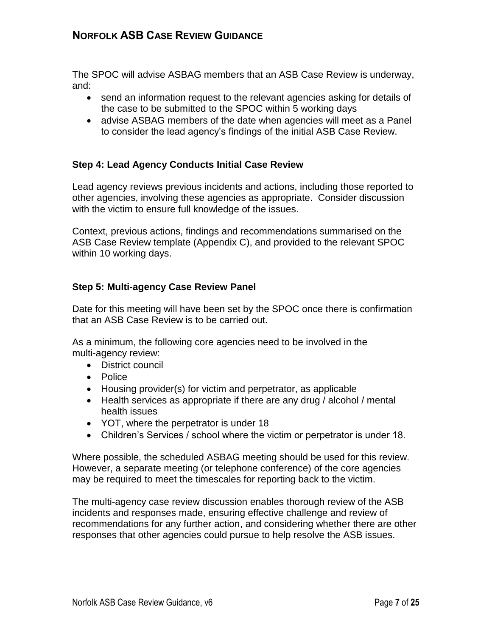The SPOC will advise ASBAG members that an ASB Case Review is underway, and:

- send an information request to the relevant agencies asking for details of the case to be submitted to the SPOC within 5 working days
- advise ASBAG members of the date when agencies will meet as a Panel to consider the lead agency's findings of the initial ASB Case Review.

#### **Step 4: Lead Agency Conducts Initial Case Review**

Lead agency reviews previous incidents and actions, including those reported to other agencies, involving these agencies as appropriate. Consider discussion with the victim to ensure full knowledge of the issues.

Context, previous actions, findings and recommendations summarised on the ASB Case Review template (Appendix C), and provided to the relevant SPOC within 10 working days.

#### **Step 5: Multi-agency Case Review Panel**

Date for this meeting will have been set by the SPOC once there is confirmation that an ASB Case Review is to be carried out.

As a minimum, the following core agencies need to be involved in the multi-agency review:

- District council
- Police
- Housing provider(s) for victim and perpetrator, as applicable
- Health services as appropriate if there are any drug / alcohol / mental health issues
- YOT, where the perpetrator is under 18
- Children's Services / school where the victim or perpetrator is under 18.

Where possible, the scheduled ASBAG meeting should be used for this review. However, a separate meeting (or telephone conference) of the core agencies may be required to meet the timescales for reporting back to the victim.

The multi-agency case review discussion enables thorough review of the ASB incidents and responses made, ensuring effective challenge and review of recommendations for any further action, and considering whether there are other responses that other agencies could pursue to help resolve the ASB issues.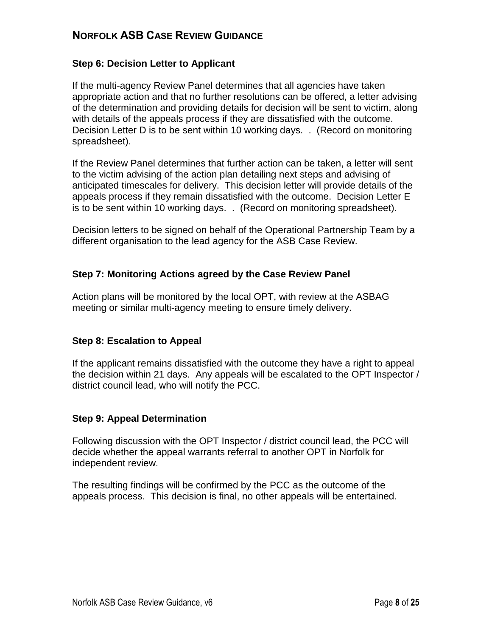#### **Step 6: Decision Letter to Applicant**

If the multi-agency Review Panel determines that all agencies have taken appropriate action and that no further resolutions can be offered, a letter advising of the determination and providing details for decision will be sent to victim, along with details of the appeals process if they are dissatisfied with the outcome. Decision Letter D is to be sent within 10 working days. . (Record on monitoring spreadsheet).

If the Review Panel determines that further action can be taken, a letter will sent to the victim advising of the action plan detailing next steps and advising of anticipated timescales for delivery. This decision letter will provide details of the appeals process if they remain dissatisfied with the outcome. Decision Letter E is to be sent within 10 working days. . (Record on monitoring spreadsheet).

Decision letters to be signed on behalf of the Operational Partnership Team by a different organisation to the lead agency for the ASB Case Review.

#### **Step 7: Monitoring Actions agreed by the Case Review Panel**

Action plans will be monitored by the local OPT, with review at the ASBAG meeting or similar multi-agency meeting to ensure timely delivery.

#### **Step 8: Escalation to Appeal**

If the applicant remains dissatisfied with the outcome they have a right to appeal the decision within 21 days. Any appeals will be escalated to the OPT Inspector / district council lead, who will notify the PCC.

#### **Step 9: Appeal Determination**

Following discussion with the OPT Inspector / district council lead, the PCC will decide whether the appeal warrants referral to another OPT in Norfolk for independent review.

The resulting findings will be confirmed by the PCC as the outcome of the appeals process. This decision is final, no other appeals will be entertained.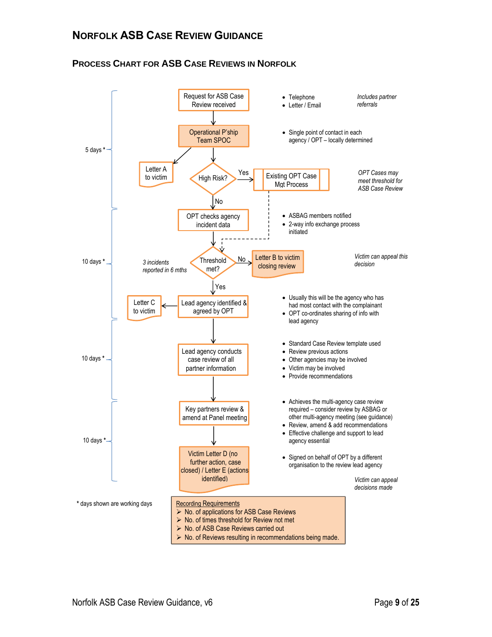#### **PROCESS CHART FOR ASB CASE REVIEWS IN NORFOLK**

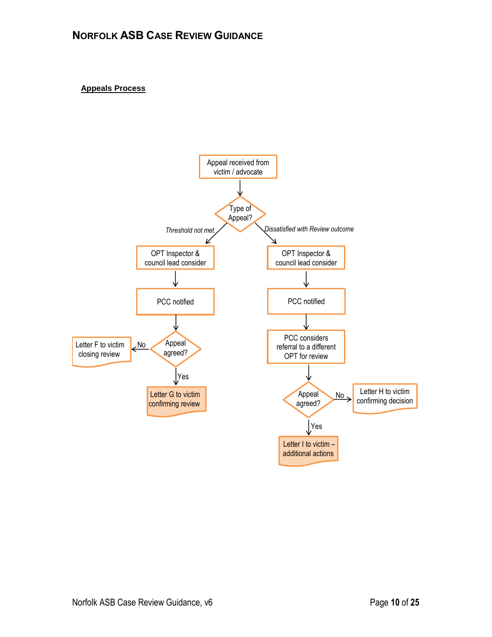#### **Appeals Process**

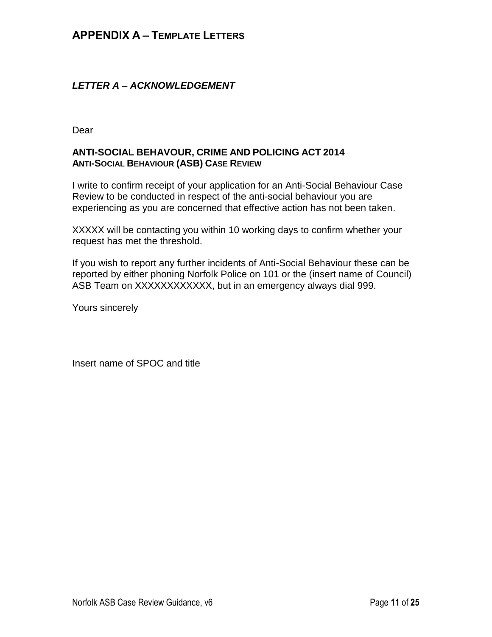#### *LETTER A – ACKNOWLEDGEMENT*

Dear

#### **ANTI-SOCIAL BEHAVOUR, CRIME AND POLICING ACT 2014 ANTI-SOCIAL BEHAVIOUR (ASB) CASE REVIEW**

I write to confirm receipt of your application for an Anti-Social Behaviour Case Review to be conducted in respect of the anti-social behaviour you are experiencing as you are concerned that effective action has not been taken.

XXXXX will be contacting you within 10 working days to confirm whether your request has met the threshold.

If you wish to report any further incidents of Anti-Social Behaviour these can be reported by either phoning Norfolk Police on 101 or the (insert name of Council) ASB Team on XXXXXXXXXXXX, but in an emergency always dial 999.

Yours sincerely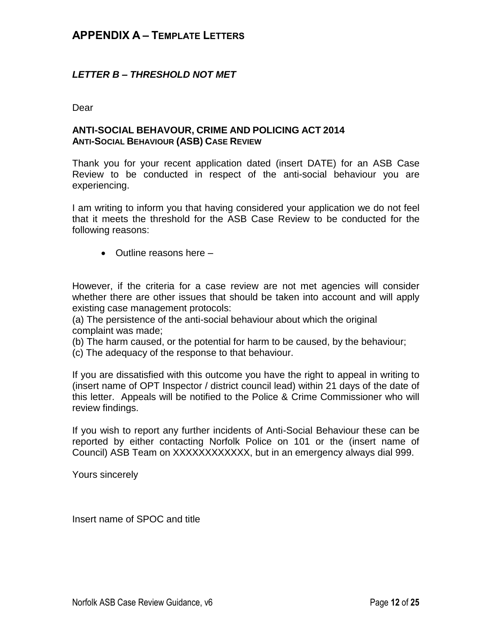#### *LETTER B – THRESHOLD NOT MET*

Dear

#### **ANTI-SOCIAL BEHAVOUR, CRIME AND POLICING ACT 2014 ANTI-SOCIAL BEHAVIOUR (ASB) CASE REVIEW**

Thank you for your recent application dated (insert DATE) for an ASB Case Review to be conducted in respect of the anti-social behaviour you are experiencing.

I am writing to inform you that having considered your application we do not feel that it meets the threshold for the ASB Case Review to be conducted for the following reasons:

 $\bullet$  Outline reasons here  $-$ 

However, if the criteria for a case review are not met agencies will consider whether there are other issues that should be taken into account and will apply existing case management protocols:

(a) The persistence of the anti-social behaviour about which the original complaint was made;

(b) The harm caused, or the potential for harm to be caused, by the behaviour;

(c) The adequacy of the response to that behaviour.

If you are dissatisfied with this outcome you have the right to appeal in writing to (insert name of OPT Inspector / district council lead) within 21 days of the date of this letter. Appeals will be notified to the Police & Crime Commissioner who will review findings.

If you wish to report any further incidents of Anti-Social Behaviour these can be reported by either contacting Norfolk Police on 101 or the (insert name of Council) ASB Team on XXXXXXXXXXXX, but in an emergency always dial 999.

Yours sincerely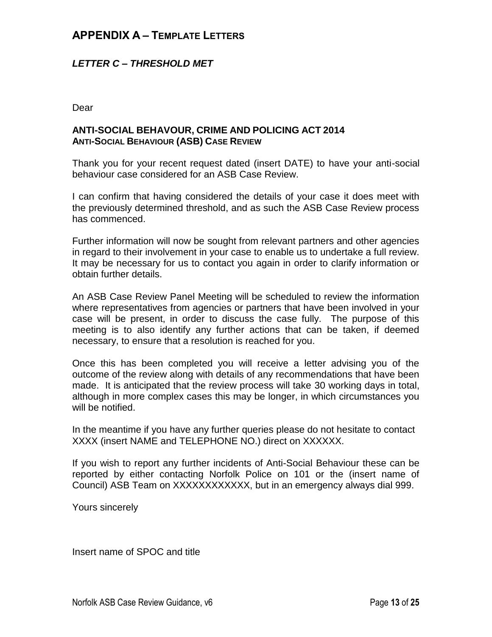#### *LETTER C – THRESHOLD MET*

Dear

#### **ANTI-SOCIAL BEHAVOUR, CRIME AND POLICING ACT 2014 ANTI-SOCIAL BEHAVIOUR (ASB) CASE REVIEW**

Thank you for your recent request dated (insert DATE) to have your anti-social behaviour case considered for an ASB Case Review.

I can confirm that having considered the details of your case it does meet with the previously determined threshold, and as such the ASB Case Review process has commenced.

Further information will now be sought from relevant partners and other agencies in regard to their involvement in your case to enable us to undertake a full review. It may be necessary for us to contact you again in order to clarify information or obtain further details.

An ASB Case Review Panel Meeting will be scheduled to review the information where representatives from agencies or partners that have been involved in your case will be present, in order to discuss the case fully. The purpose of this meeting is to also identify any further actions that can be taken, if deemed necessary, to ensure that a resolution is reached for you.

Once this has been completed you will receive a letter advising you of the outcome of the review along with details of any recommendations that have been made. It is anticipated that the review process will take 30 working days in total, although in more complex cases this may be longer, in which circumstances you will be notified.

In the meantime if you have any further queries please do not hesitate to contact XXXX (insert NAME and TELEPHONE NO.) direct on XXXXXX.

If you wish to report any further incidents of Anti-Social Behaviour these can be reported by either contacting Norfolk Police on 101 or the (insert name of Council) ASB Team on XXXXXXXXXXXX, but in an emergency always dial 999.

Yours sincerely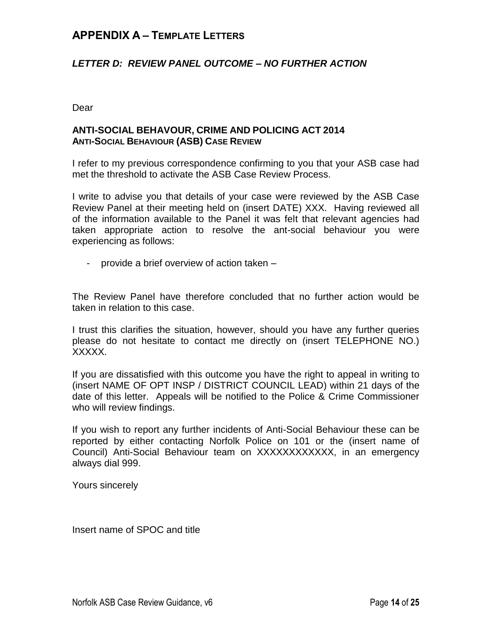#### *LETTER D: REVIEW PANEL OUTCOME – NO FURTHER ACTION*

Dear

#### **ANTI-SOCIAL BEHAVOUR, CRIME AND POLICING ACT 2014 ANTI-SOCIAL BEHAVIOUR (ASB) CASE REVIEW**

I refer to my previous correspondence confirming to you that your ASB case had met the threshold to activate the ASB Case Review Process.

I write to advise you that details of your case were reviewed by the ASB Case Review Panel at their meeting held on (insert DATE) XXX. Having reviewed all of the information available to the Panel it was felt that relevant agencies had taken appropriate action to resolve the ant-social behaviour you were experiencing as follows:

- provide a brief overview of action taken –

The Review Panel have therefore concluded that no further action would be taken in relation to this case.

I trust this clarifies the situation, however, should you have any further queries please do not hesitate to contact me directly on (insert TELEPHONE NO.) XXXXX.

If you are dissatisfied with this outcome you have the right to appeal in writing to (insert NAME OF OPT INSP / DISTRICT COUNCIL LEAD) within 21 days of the date of this letter. Appeals will be notified to the Police & Crime Commissioner who will review findings.

If you wish to report any further incidents of Anti-Social Behaviour these can be reported by either contacting Norfolk Police on 101 or the (insert name of Council) Anti-Social Behaviour team on XXXXXXXXXXXX, in an emergency always dial 999.

Yours sincerely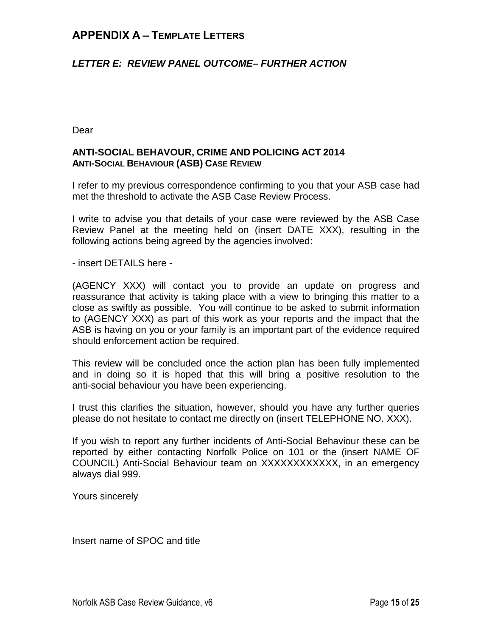#### *LETTER E: REVIEW PANEL OUTCOME– FURTHER ACTION*

Dear

#### **ANTI-SOCIAL BEHAVOUR, CRIME AND POLICING ACT 2014 ANTI-SOCIAL BEHAVIOUR (ASB) CASE REVIEW**

I refer to my previous correspondence confirming to you that your ASB case had met the threshold to activate the ASB Case Review Process.

I write to advise you that details of your case were reviewed by the ASB Case Review Panel at the meeting held on (insert DATE XXX), resulting in the following actions being agreed by the agencies involved:

- insert DETAILS here -

(AGENCY XXX) will contact you to provide an update on progress and reassurance that activity is taking place with a view to bringing this matter to a close as swiftly as possible. You will continue to be asked to submit information to (AGENCY XXX) as part of this work as your reports and the impact that the ASB is having on you or your family is an important part of the evidence required should enforcement action be required.

This review will be concluded once the action plan has been fully implemented and in doing so it is hoped that this will bring a positive resolution to the anti-social behaviour you have been experiencing.

I trust this clarifies the situation, however, should you have any further queries please do not hesitate to contact me directly on (insert TELEPHONE NO. XXX).

If you wish to report any further incidents of Anti-Social Behaviour these can be reported by either contacting Norfolk Police on 101 or the (insert NAME OF COUNCIL) Anti-Social Behaviour team on XXXXXXXXXXXX, in an emergency always dial 999.

Yours sincerely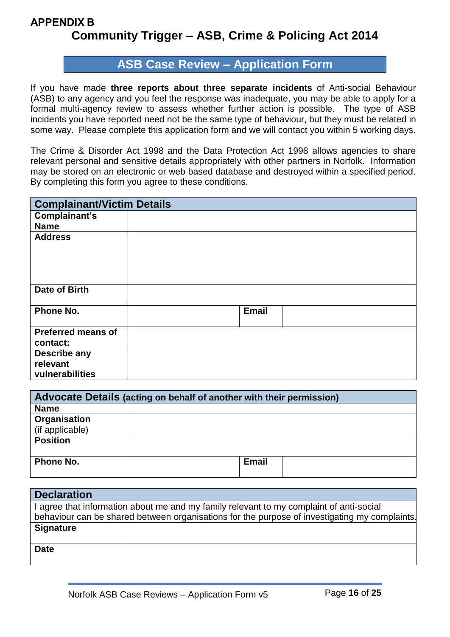# **ASB Case Review – Application Form**

If you have made **three reports about three separate incidents** of Anti-social Behaviour (ASB) to any agency and you feel the response was inadequate, you may be able to apply for a formal multi-agency review to assess whether further action is possible. The type of ASB incidents you have reported need not be the same type of behaviour, but they must be related in some way. Please complete this application form and we will contact you within 5 working days.

The Crime & Disorder Act 1998 and the Data Protection Act 1998 allows agencies to share relevant personal and sensitive details appropriately with other partners in Norfolk. Information may be stored on an electronic or web based database and destroyed within a specified period. By completing this form you agree to these conditions.

| <b>Complainant/Victim Details</b>     |              |  |
|---------------------------------------|--------------|--|
| Complainant's                         |              |  |
| <b>Name</b>                           |              |  |
| <b>Address</b>                        |              |  |
| Date of Birth                         |              |  |
| Phone No.                             | <b>Email</b> |  |
| <b>Preferred means of</b><br>contact: |              |  |
| Describe any                          |              |  |
| relevant                              |              |  |
| vulnerabilities                       |              |  |

| Advocate Details (acting on behalf of another with their permission) |              |  |
|----------------------------------------------------------------------|--------------|--|
| <b>Name</b>                                                          |              |  |
| Organisation                                                         |              |  |
| (if applicable)                                                      |              |  |
| <b>Position</b>                                                      |              |  |
|                                                                      |              |  |
| Phone No.                                                            | <b>Email</b> |  |
|                                                                      |              |  |

| <b>Declaration</b> |                                                                                               |
|--------------------|-----------------------------------------------------------------------------------------------|
|                    | I agree that information about me and my family relevant to my complaint of anti-social       |
|                    | behaviour can be shared between organisations for the purpose of investigating my complaints. |
| <b>Signature</b>   |                                                                                               |
|                    |                                                                                               |
| <b>Date</b>        |                                                                                               |
|                    |                                                                                               |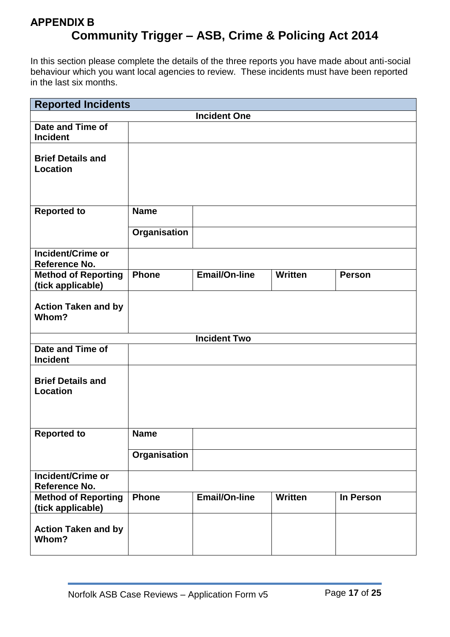In this section please complete the details of the three reports you have made about anti-social behaviour which you want local agencies to review. These incidents must have been reported in the last six months.

| <b>Reported Incidents</b>                       |              |                      |                |               |
|-------------------------------------------------|--------------|----------------------|----------------|---------------|
|                                                 |              | <b>Incident One</b>  |                |               |
| Date and Time of<br><b>Incident</b>             |              |                      |                |               |
| <b>Brief Details and</b><br><b>Location</b>     |              |                      |                |               |
| <b>Reported to</b>                              | <b>Name</b>  |                      |                |               |
|                                                 | Organisation |                      |                |               |
| <b>Incident/Crime or</b><br>Reference No.       |              |                      |                |               |
| <b>Method of Reporting</b><br>(tick applicable) | <b>Phone</b> | <b>Email/On-line</b> | <b>Written</b> | <b>Person</b> |
| <b>Action Taken and by</b><br>Whom?             |              |                      |                |               |
|                                                 |              | <b>Incident Two</b>  |                |               |
| Date and Time of<br><b>Incident</b>             |              |                      |                |               |
| <b>Brief Details and</b><br><b>Location</b>     |              |                      |                |               |
| <b>Reported to</b>                              | <b>Name</b>  |                      |                |               |
|                                                 | Organisation |                      |                |               |
| <b>Incident/Crime or</b><br>Reference No.       |              |                      |                |               |
| <b>Method of Reporting</b><br>(tick applicable) | <b>Phone</b> | <b>Email/On-line</b> | <b>Written</b> | In Person     |
| <b>Action Taken and by</b><br>Whom?             |              |                      |                |               |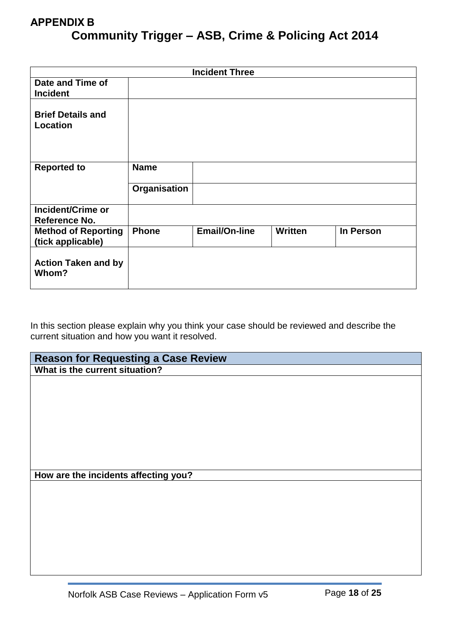| <b>Incident Three</b>                           |              |                      |                |                  |
|-------------------------------------------------|--------------|----------------------|----------------|------------------|
| Date and Time of<br><b>Incident</b>             |              |                      |                |                  |
| <b>Brief Details and</b><br><b>Location</b>     |              |                      |                |                  |
| <b>Reported to</b>                              | <b>Name</b>  |                      |                |                  |
|                                                 | Organisation |                      |                |                  |
| <b>Incident/Crime or</b><br>Reference No.       |              |                      |                |                  |
| <b>Method of Reporting</b><br>(tick applicable) | <b>Phone</b> | <b>Email/On-line</b> | <b>Written</b> | <b>In Person</b> |
| <b>Action Taken and by</b><br>Whom?             |              |                      |                |                  |

In this section please explain why you think your case should be reviewed and describe the current situation and how you want it resolved.

| <b>Reason for Requesting a Case Review</b> |
|--------------------------------------------|
| What is the current situation?             |
|                                            |
|                                            |
|                                            |
|                                            |
|                                            |
|                                            |
|                                            |
|                                            |
|                                            |
| How are the incidents affecting you?       |
|                                            |
|                                            |
|                                            |
|                                            |
|                                            |
|                                            |
|                                            |
|                                            |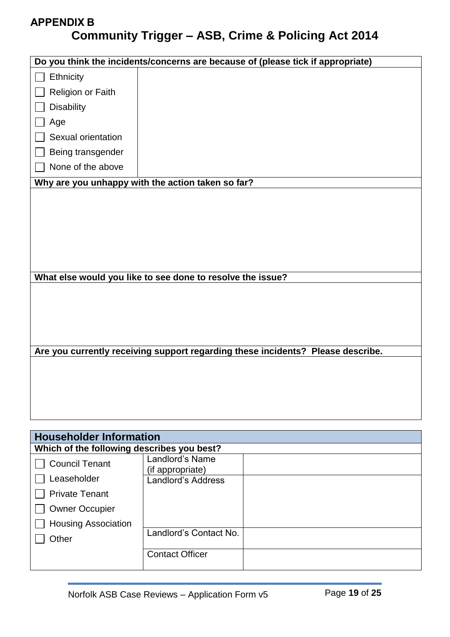|                    | Do you think the incidents/concerns are because of (please tick if appropriate) |
|--------------------|---------------------------------------------------------------------------------|
| Ethnicity          |                                                                                 |
| Religion or Faith  |                                                                                 |
| <b>Disability</b>  |                                                                                 |
| Age                |                                                                                 |
| Sexual orientation |                                                                                 |
| Being transgender  |                                                                                 |
| None of the above  |                                                                                 |
|                    | Why are you unhappy with the action taken so far?                               |
|                    |                                                                                 |
|                    |                                                                                 |
|                    |                                                                                 |
|                    |                                                                                 |
|                    |                                                                                 |
|                    |                                                                                 |
|                    |                                                                                 |
|                    | What else would you like to see done to resolve the issue?                      |
|                    |                                                                                 |
|                    |                                                                                 |
|                    |                                                                                 |
|                    |                                                                                 |
|                    |                                                                                 |
|                    | Are you currently receiving support regarding these incidents? Please describe. |
|                    |                                                                                 |
|                    |                                                                                 |
|                    |                                                                                 |
|                    |                                                                                 |
|                    |                                                                                 |
|                    |                                                                                 |

| <b>Householder Information</b>             |                                     |  |
|--------------------------------------------|-------------------------------------|--|
| Which of the following describes you best? |                                     |  |
| <b>Council Tenant</b>                      | Landlord's Name<br>(if appropriate) |  |
| Leaseholder                                | <b>Landlord's Address</b>           |  |
| <b>Private Tenant</b>                      |                                     |  |
| <b>Owner Occupier</b>                      |                                     |  |
| <b>Housing Association</b>                 |                                     |  |
| Other                                      | Landlord's Contact No.              |  |
|                                            | <b>Contact Officer</b>              |  |
|                                            |                                     |  |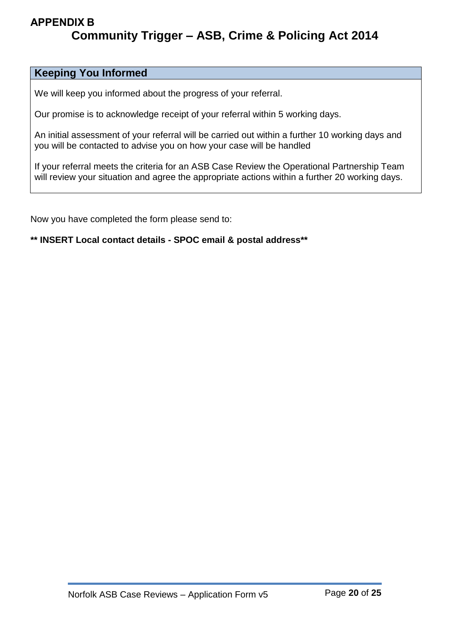# **Keeping You Informed**

We will keep you informed about the progress of your referral.

Our promise is to acknowledge receipt of your referral within 5 working days.

An initial assessment of your referral will be carried out within a further 10 working days and you will be contacted to advise you on how your case will be handled

If your referral meets the criteria for an ASB Case Review the Operational Partnership Team will review your situation and agree the appropriate actions within a further 20 working days.

Now you have completed the form please send to:

**\*\* INSERT Local contact details - SPOC email & postal address\*\***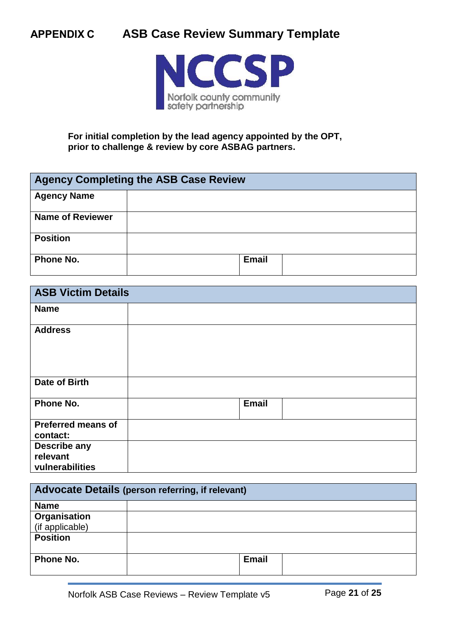

**For initial completion by the lead agency appointed by the OPT, prior to challenge & review by core ASBAG partners.**

| <b>Agency Completing the ASB Case Review</b> |              |  |
|----------------------------------------------|--------------|--|
| <b>Agency Name</b>                           |              |  |
| <b>Name of Reviewer</b>                      |              |  |
| <b>Position</b>                              |              |  |
| Phone No.                                    | <b>Email</b> |  |

| <b>ASB Victim Details</b> |              |  |
|---------------------------|--------------|--|
| <b>Name</b>               |              |  |
| <b>Address</b>            |              |  |
| Date of Birth             |              |  |
| Phone No.                 | <b>Email</b> |  |
| <b>Preferred means of</b> |              |  |
| contact:                  |              |  |
| <b>Describe any</b>       |              |  |
| relevant                  |              |  |
| vulnerabilities           |              |  |

| <b>Advocate Details (person referring, if relevant)</b> |              |  |
|---------------------------------------------------------|--------------|--|
| <b>Name</b>                                             |              |  |
| Organisation                                            |              |  |
| (if applicable)                                         |              |  |
| <b>Position</b>                                         |              |  |
| Phone No.                                               | <b>Email</b> |  |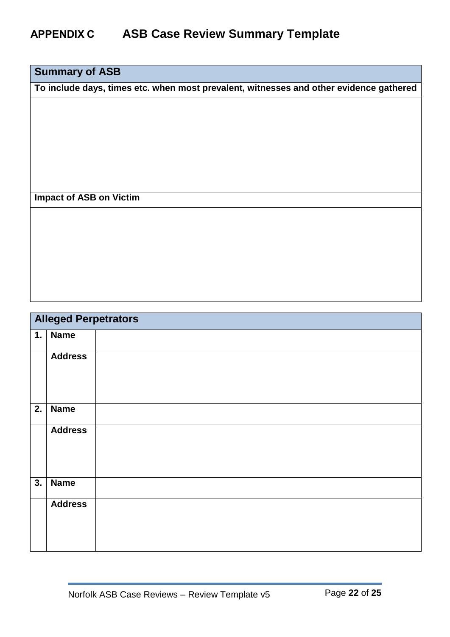# **Summary of ASB**

**To include days, times etc. when most prevalent, witnesses and other evidence gathered**

# **Impact of ASB on Victim**

| <b>Alleged Perpetrators</b> |                |  |  |  |
|-----------------------------|----------------|--|--|--|
| 1.                          | <b>Name</b>    |  |  |  |
|                             | <b>Address</b> |  |  |  |
| 2.                          | <b>Name</b>    |  |  |  |
|                             | <b>Address</b> |  |  |  |
| 3.                          | <b>Name</b>    |  |  |  |
|                             | <b>Address</b> |  |  |  |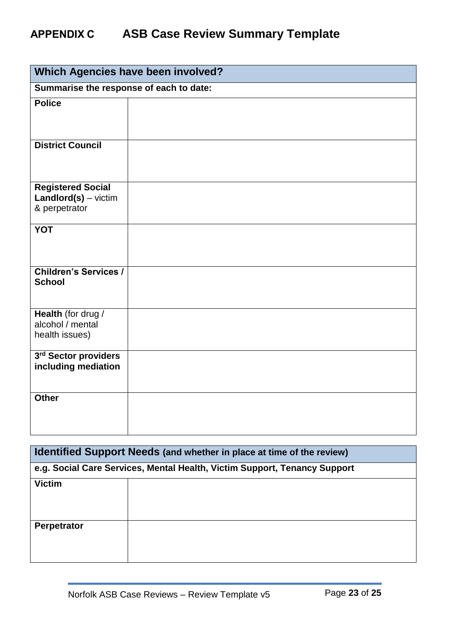| Which Agencies have been involved?                                  |  |  |  |  |  |
|---------------------------------------------------------------------|--|--|--|--|--|
| Summarise the response of each to date:                             |  |  |  |  |  |
| <b>Police</b>                                                       |  |  |  |  |  |
|                                                                     |  |  |  |  |  |
| <b>District Council</b>                                             |  |  |  |  |  |
| <b>Registered Social</b><br>$Landlord(s) - victim$<br>& perpetrator |  |  |  |  |  |
| <b>YOT</b>                                                          |  |  |  |  |  |
| <b>Children's Services /</b><br><b>School</b>                       |  |  |  |  |  |
| Health (for drug /<br>alcohol / mental<br>health issues)            |  |  |  |  |  |
| 3rd Sector providers<br>including mediation                         |  |  |  |  |  |
| <b>Other</b>                                                        |  |  |  |  |  |

| Identified Support Needs (and whether in place at time of the review)     |  |  |  |  |  |
|---------------------------------------------------------------------------|--|--|--|--|--|
| e.g. Social Care Services, Mental Health, Victim Support, Tenancy Support |  |  |  |  |  |
| <b>Victim</b>                                                             |  |  |  |  |  |
| Perpetrator                                                               |  |  |  |  |  |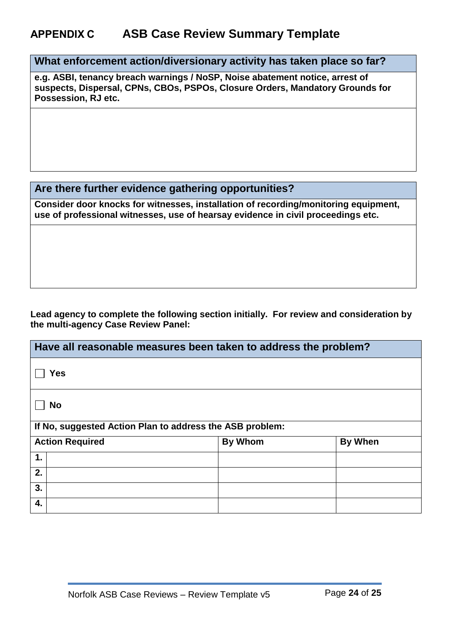**What enforcement action/diversionary activity has taken place so far?**

**e.g. ASBI, tenancy breach warnings / NoSP, Noise abatement notice, arrest of suspects, Dispersal, CPNs, CBOs, PSPOs, Closure Orders, Mandatory Grounds for Possession, RJ etc.**

# **Are there further evidence gathering opportunities?**

**Consider door knocks for witnesses, installation of recording/monitoring equipment, use of professional witnesses, use of hearsay evidence in civil proceedings etc.**

#### **Lead agency to complete the following section initially. For review and consideration by the multi-agency Case Review Panel:**

| Have all reasonable measures been taken to address the problem? |                |                |  |  |  |  |
|-----------------------------------------------------------------|----------------|----------------|--|--|--|--|
| <b>Yes</b>                                                      |                |                |  |  |  |  |
| <b>No</b>                                                       |                |                |  |  |  |  |
| If No, suggested Action Plan to address the ASB problem:        |                |                |  |  |  |  |
| <b>Action Required</b>                                          | <b>By Whom</b> | <b>By When</b> |  |  |  |  |
| 1.                                                              |                |                |  |  |  |  |
| 2.                                                              |                |                |  |  |  |  |
| 3.                                                              |                |                |  |  |  |  |
| 4.                                                              |                |                |  |  |  |  |